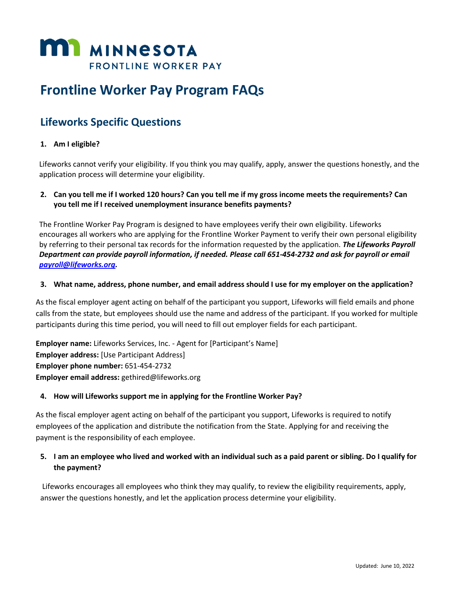

# **Frontline Worker Pay Program FAQs**

## **Lifeworks Specific Questions**

#### **1. Am I eligible?**

Lifeworks cannot verify your eligibility. If you think you may qualify, apply, answer the questions honestly, and the application process will determine your eligibility.

#### **2. Can you tell me if I worked 120 hours? Can you tell me if my gross income meets the requirements? Can you tell me if I received unemployment insurance benefits payments?**

The Frontline Worker Pay Program is designed to have employees verify their own eligibility. Lifeworks encourages all workers who are applying for the Frontline Worker Payment to verify their own personal eligibility by referring to their personal tax records for the information requested by the application. *The Lifeworks Payroll Department can provide payroll information, if needed. Please call 651-454-2732 and ask for payroll or email [payroll@lifeworks.org.](mailto:payroll@lifeworks.org)*

#### **3. What name, address, phone number, and email address should I use for my employer on the application?**

As the fiscal employer agent acting on behalf of the participant you support, Lifeworks will field emails and phone calls from the state, but employees should use the name and address of the participant. If you worked for multiple participants during this time period, you will need to fill out employer fields for each participant.

**Employer name:** Lifeworks Services, Inc. - Agent for [Participant's Name] **Employer address:** [Use Participant Address] **Employer phone number:** 651-454-2732 **Employer email address:** gethired@lifeworks.org

#### **4. How will Lifeworks support me in applying for the Frontline Worker Pay?**

As the fiscal employer agent acting on behalf of the participant you support, Lifeworks is required to notify employees of the application and distribute the notification from the State. Applying for and receiving the payment is the responsibility of each employee.

#### **5. I am an employee who lived and worked with an individual such as a paid parent or sibling. Do I qualify for the payment?**

Lifeworks encourages all employees who think they may qualify, to review the eligibility requirements, apply, answer the questions honestly, and let the application process determine your eligibility.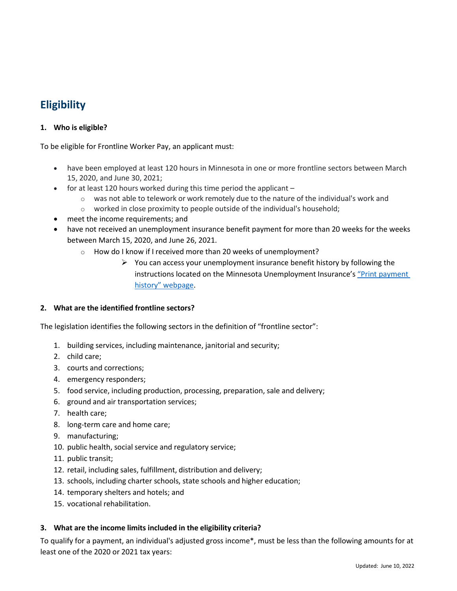### **Eligibility**

#### **1. Who is eligible?**

To be eligible for Frontline Worker Pay, an applicant must:

- have been employed at least 120 hours in Minnesota in one or more frontline sectors between March 15, 2020, and June 30, 2021;
- for at least 120 hours worked during this time period the applicant
	- $\circ$  was not able to telework or work remotely due to the nature of the individual's work and
	- o worked in close proximity to people outside of the individual's household;
- meet the income requirements; and
- have not received an unemployment insurance benefit payment for more than 20 weeks for the weeks between March 15, 2020, and June 26, 2021.
	- o How do I know if I received more than 20 weeks of unemployment?
		- $\triangleright$  You can access your unemployment insurance benefit history by following the instructions located on the Minnesota Unemployment Insurance's "Print [payment](https://www.uimn.org/applicants/getpaid/print-payment-history/index.jsp) [history" webpage](https://www.uimn.org/applicants/getpaid/print-payment-history/index.jsp).

#### **2. What are the identified frontline sectors?**

The legislation identifies the following sectors in the definition of "frontline sector":

- 1. building services, including maintenance, janitorial and security;
- 2. child care;
- 3. courts and corrections;
- 4. emergency responders;
- 5. food service, including production, processing, preparation, sale and delivery;
- 6. ground and air transportation services;
- 7. health care;
- 8. long-term care and home care;
- 9. manufacturing;
- 10. public health, social service and regulatory service;
- 11. public transit;
- 12. retail, including sales, fulfillment, distribution and delivery;
- 13. schools, including charter schools, state schools and higher education;
- 14. temporary shelters and hotels; and
- 15. vocational rehabilitation.

#### **3. What are the income limits included in the eligibility criteria?**

To qualify for a payment, an individual's adjusted gross income\*, must be less than the following amounts for at least one of the 2020 or 2021 tax years: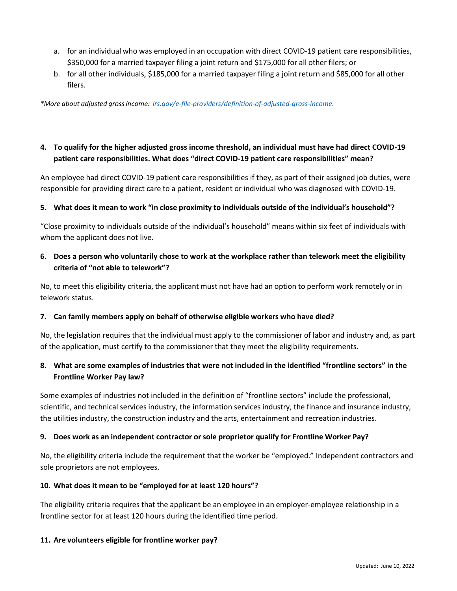- a. for an individual who was employed in an occupation with direct COVID-19 patient care responsibilities, \$350,000 for a married taxpayer filing a joint return and \$175,000 for all other filers; or
- b. for all other individuals, \$185,000 for a married taxpayer filing a joint return and \$85,000 for all other filers.

*\*More about adjusted grossincome: [irs.gov/e-file-providers/definition-of-adjusted-gross-income.](https://www.irs.gov/e-file-providers/definition-of-adjusted-gross-income)*

#### **4. To qualify for the higher adjusted gross income threshold, an individual must have had direct COVID-19 patient care responsibilities. What does "direct COVID-19 patient care responsibilities" mean?**

An employee had direct COVID-19 patient care responsibilities if they, as part of their assigned job duties, were responsible for providing direct care to a patient, resident or individual who was diagnosed with COVID-19.

#### **5. What does it mean to work "in close proximity to individuals outside of the individual's household"?**

"Close proximity to individuals outside of the individual's household" means within six feet of individuals with whom the applicant does not live.

#### **6. Does a person who voluntarily chose to work at the workplace rather than telework meet the eligibility criteria of "not able to telework"?**

No, to meet this eligibility criteria, the applicant must not have had an option to perform work remotely or in telework status.

#### **7. Can family members apply on behalf of otherwise eligible workers who have died?**

No, the legislation requires that the individual must apply to the commissioner of labor and industry and, as part of the application, must certify to the commissioner that they meet the eligibility requirements.

#### **8. What are some examples of industries that were not included in the identified "frontline sectors" in the Frontline Worker Pay law?**

Some examples of industries not included in the definition of "frontline sectors" include the professional, scientific, and technical services industry, the information services industry, the finance and insurance industry, the utilities industry, the construction industry and the arts, entertainment and recreation industries.

#### **9. Does work as an independent contractor orsole proprietor qualify for Frontline Worker Pay?**

No, the eligibility criteria include the requirement that the worker be "employed." Independent contractors and sole proprietors are not employees.

#### **10. What does it mean to be "employed for at least 120 hours"?**

The eligibility criteria requires that the applicant be an employee in an employer-employee relationship in a frontline sector for at least 120 hours during the identified time period.

#### **11. Are volunteers eligible for frontline worker pay?**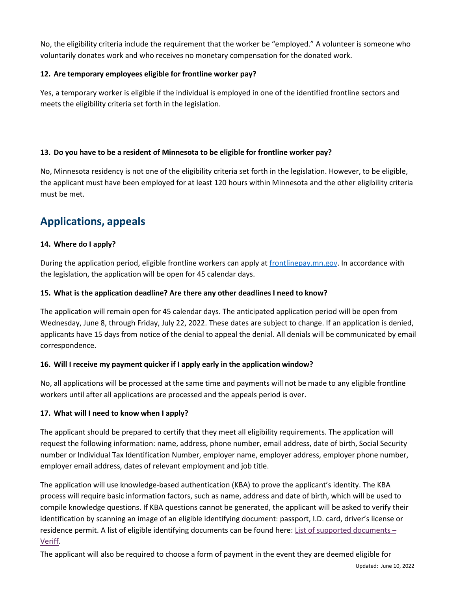No, the eligibility criteria include the requirement that the worker be "employed." A volunteer is someone who voluntarily donates work and who receives no monetary compensation for the donated work.

#### **12. Are temporary employees eligible for frontline worker pay?**

Yes, a temporary worker is eligible if the individual is employed in one of the identified frontline sectors and meets the eligibility criteria set forth in the legislation.

#### **13. Do you have to be a resident of Minnesota to be eligible for frontline worker pay?**

No, Minnesota residency is not one of the eligibility criteria set forth in the legislation. However, to be eligible, the applicant must have been employed for at least 120 hours within Minnesota and the other eligibility criteria must be met.

### **Applications, appeals**

#### **14. Where do I apply?**

During the application period, eligible frontline workers can apply at [frontlinepay.mn.gov.](http://www.frontlinepay.mn.gov/) In accordance with the legislation, the application will be open for 45 calendar days.

#### **15. What is the application deadline? Are there any other deadlines I need to know?**

The application will remain open for 45 calendar days. The anticipated application period will be open from Wednesday, June 8, through Friday, July 22, 2022. These dates are subject to change. If an application is denied, applicants have 15 days from notice of the denial to appeal the denial. All denials will be communicated by email correspondence.

#### **16. Will I receive my payment quicker if I apply early in the application window?**

No, all applications will be processed at the same time and payments will not be made to any eligible frontline workers until after all applications are processed and the appeals period is over.

#### **17. What will I need to know when I apply?**

The applicant should be prepared to certify that they meet all eligibility requirements. The application will request the following information: name, address, phone number, email address, date of birth, Social Security number or Individual Tax Identification Number, employer name, employer address, employer phone number, employer email address, dates of relevant employment and job title.

The application will use knowledge-based authentication (KBA) to prove the applicant's identity. The KBA process will require basic information factors, such as name, address and date of birth, which will be used to compile knowledge questions. If KBA questions cannot be generated, the applicant will be asked to verify their identification by scanning an image of an eligible identifying document: passport, I.D. card, driver's license or residence permit. A list of eligible identifying documents can be found here: [List of supported documents](https://www.veriff.com/supported-countries) – [Veriff.](https://www.veriff.com/supported-countries)

The applicant will also be required to choose a form of payment in the event they are deemed eligible for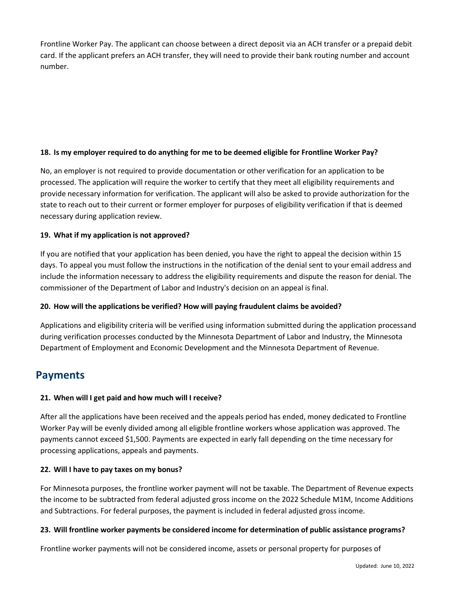Frontline Worker Pay. The applicant can choose between a direct deposit via an ACH transfer or a prepaid debit card. If the applicant prefers an ACH transfer, they will need to provide their bank routing number and account number.

#### **18. Is my employer required to do anything for me to be deemed eligible for Frontline Worker Pay?**

No, an employer is not required to provide documentation or other verification for an application to be processed. The application will require the worker to certify that they meet all eligibility requirements and provide necessary information for verification. The applicant will also be asked to provide authorization for the state to reach out to their current or former employer for purposes of eligibility verification if that is deemed necessary during application review.

#### **19. What if my application is not approved?**

If you are notified that your application has been denied, you have the right to appeal the decision within 15 days. To appeal you must follow the instructions in the notification of the denial sent to your email address and include the information necessary to address the eligibility requirements and dispute the reason for denial. The commissioner of the Department of Labor and Industry's decision on an appeal is final.

#### **20. How will the applications be verified? How will paying fraudulent claims be avoided?**

Applications and eligibility criteria will be verified using information submitted during the application processand during verification processes conducted by the Minnesota Department of Labor and Industry, the Minnesota Department of Employment and Economic Development and the Minnesota Department of Revenue.

### **Payments**

#### **21. When will I get paid and how much will I receive?**

After all the applications have been received and the appeals period has ended, money dedicated to Frontline Worker Pay will be evenly divided among all eligible frontline workers whose application was approved. The payments cannot exceed \$1,500. Payments are expected in early fall depending on the time necessary for processing applications, appeals and payments.

#### **22. Will I have to pay taxes on my bonus?**

For Minnesota purposes, the frontline worker payment will not be taxable. The Department of Revenue expects the income to be subtracted from federal adjusted gross income on the 2022 Schedule M1M, Income Additions and Subtractions. For federal purposes, the payment is included in federal adjusted gross income.

#### **23. Will frontline worker payments be considered income for determination of public assistance programs?**

Frontline worker payments will not be considered income, assets or personal property for purposes of